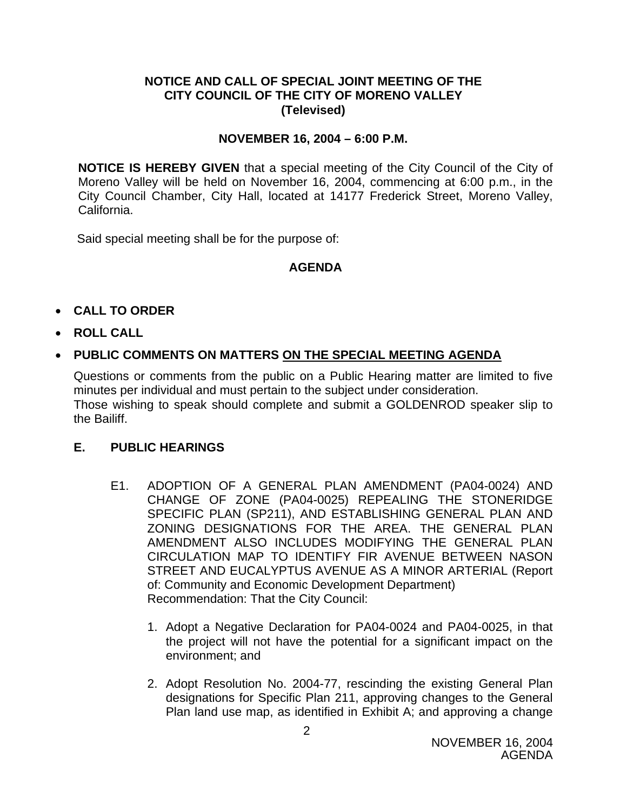## **NOTICE AND CALL OF SPECIAL JOINT MEETING OF THE CITY COUNCIL OF THE CITY OF MORENO VALLEY (Televised)**

## **NOVEMBER 16, 2004 – 6:00 P.M.**

**NOTICE IS HEREBY GIVEN** that a special meeting of the City Council of the City of Moreno Valley will be held on November 16, 2004, commencing at 6:00 p.m., in the City Council Chamber, City Hall, located at 14177 Frederick Street, Moreno Valley, California.

Said special meeting shall be for the purpose of:

## **AGENDA**

- **CALL TO ORDER**
- **ROLL CALL**

## • **PUBLIC COMMENTS ON MATTERS ON THE SPECIAL MEETING AGENDA**

Questions or comments from the public on a Public Hearing matter are limited to five minutes per individual and must pertain to the subject under consideration. Those wishing to speak should complete and submit a GOLDENROD speaker slip to the Bailiff.

#### **E. PUBLIC HEARINGS**

- E1. ADOPTION OF A GENERAL PLAN AMENDMENT (PA04-0024) AND CHANGE OF ZONE (PA04-0025) REPEALING THE STONERIDGE SPECIFIC PLAN (SP211), AND ESTABLISHING GENERAL PLAN AND ZONING DESIGNATIONS FOR THE AREA. THE GENERAL PLAN AMENDMENT ALSO INCLUDES MODIFYING THE GENERAL PLAN CIRCULATION MAP TO IDENTIFY FIR AVENUE BETWEEN NASON STREET AND EUCALYPTUS AVENUE AS A MINOR ARTERIAL (Report of: Community and Economic Development Department) Recommendation: That the City Council:
	- 1. Adopt a Negative Declaration for PA04-0024 and PA04-0025, in that the project will not have the potential for a significant impact on the environment; and
	- 2. Adopt Resolution No. 2004-77, rescinding the existing General Plan designations for Specific Plan 211, approving changes to the General Plan land use map, as identified in Exhibit A; and approving a change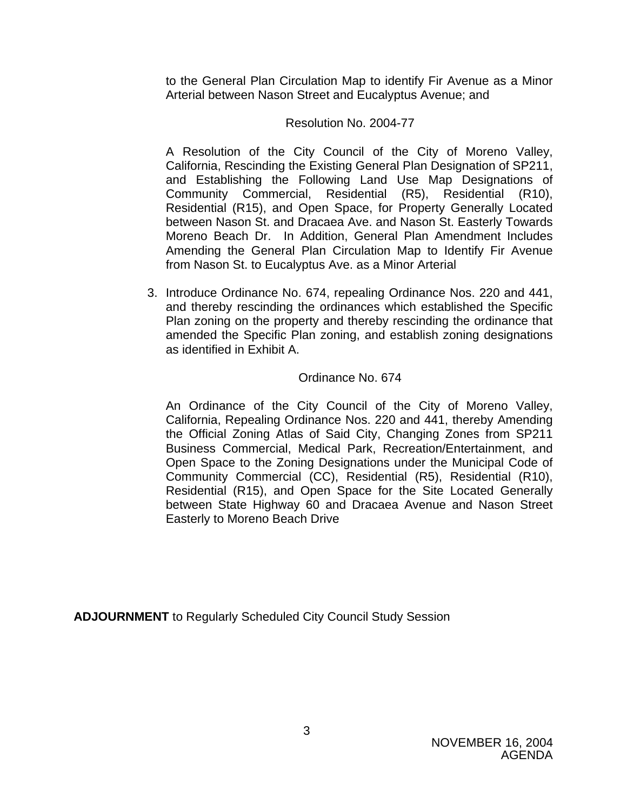to the General Plan Circulation Map to identify Fir Avenue as a Minor Arterial between Nason Street and Eucalyptus Avenue; and

### Resolution No. 2004-77

A Resolution of the City Council of the City of Moreno Valley, California, Rescinding the Existing General Plan Designation of SP211, and Establishing the Following Land Use Map Designations of Community Commercial, Residential (R5), Residential (R10), Residential (R15), and Open Space, for Property Generally Located between Nason St. and Dracaea Ave. and Nason St. Easterly Towards Moreno Beach Dr. In Addition, General Plan Amendment Includes Amending the General Plan Circulation Map to Identify Fir Avenue from Nason St. to Eucalyptus Ave. as a Minor Arterial

3. Introduce Ordinance No. 674, repealing Ordinance Nos. 220 and 441, and thereby rescinding the ordinances which established the Specific Plan zoning on the property and thereby rescinding the ordinance that amended the Specific Plan zoning, and establish zoning designations as identified in Exhibit A.

#### Ordinance No. 674

An Ordinance of the City Council of the City of Moreno Valley, California, Repealing Ordinance Nos. 220 and 441, thereby Amending the Official Zoning Atlas of Said City, Changing Zones from SP211 Business Commercial, Medical Park, Recreation/Entertainment, and Open Space to the Zoning Designations under the Municipal Code of Community Commercial (CC), Residential (R5), Residential (R10), Residential (R15), and Open Space for the Site Located Generally between State Highway 60 and Dracaea Avenue and Nason Street Easterly to Moreno Beach Drive

**ADJOURNMENT** to Regularly Scheduled City Council Study Session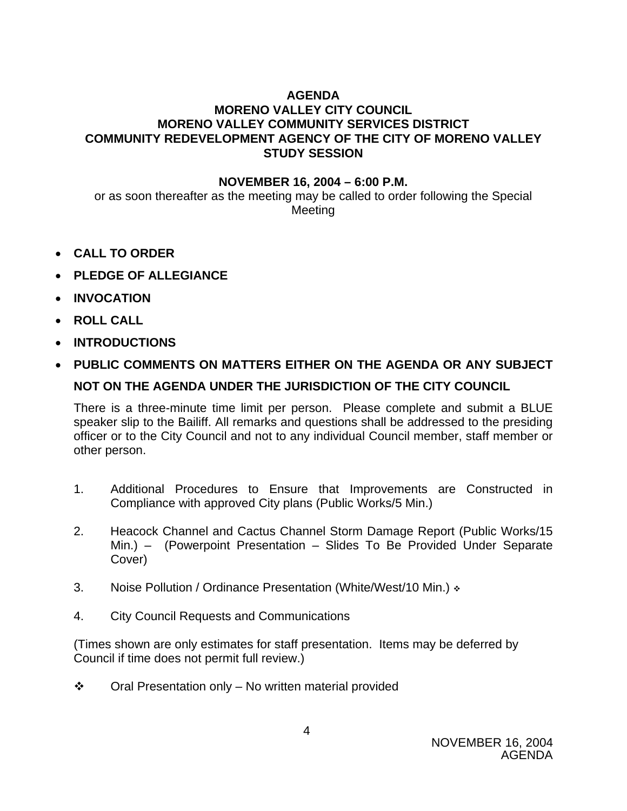# **AGENDA**

# **MORENO VALLEY CITY COUNCIL MORENO VALLEY COMMUNITY SERVICES DISTRICT COMMUNITY REDEVELOPMENT AGENCY OF THE CITY OF MORENO VALLEY STUDY SESSION**

## **NOVEMBER 16, 2004 – 6:00 P.M.**

or as soon thereafter as the meeting may be called to order following the Special Meeting

- **CALL TO ORDER**
- **PLEDGE OF ALLEGIANCE**
- **INVOCATION**
- **ROLL CALL**
- **INTRODUCTIONS**
- **PUBLIC COMMENTS ON MATTERS EITHER ON THE AGENDA OR ANY SUBJECT NOT ON THE AGENDA UNDER THE JURISDICTION OF THE CITY COUNCIL**

There is a three-minute time limit per person. Please complete and submit a BLUE speaker slip to the Bailiff. All remarks and questions shall be addressed to the presiding officer or to the City Council and not to any individual Council member, staff member or other person.

- 1. Additional Procedures to Ensure that Improvements are Constructed in Compliance with approved City plans (Public Works/5 Min.)
- 2. Heacock Channel and Cactus Channel Storm Damage Report (Public Works/15 Min.) – (Powerpoint Presentation – Slides To Be Provided Under Separate Cover)
- 3. Noise Pollution / Ordinance Presentation (White/West/10 Min.)  $\cdot$
- 4. City Council Requests and Communications

(Times shown are only estimates for staff presentation. Items may be deferred by Council if time does not permit full review.)

 $\div$  Oral Presentation only – No written material provided